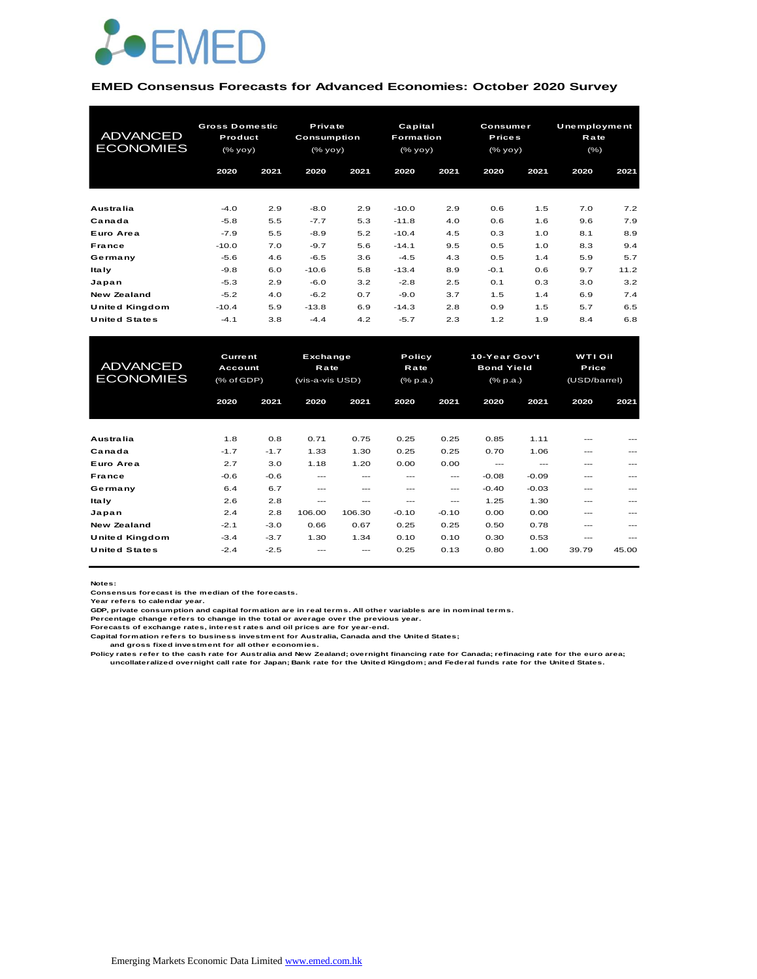

#### **EMED Consensus Forecasts for Advanced Economies: October 2020 Survey**

| <b>ADVANCED</b><br><b>ECONOMIES</b> | <b>Gross Domestic</b><br>Product<br>(% |            | Private<br><b>Consumption</b><br>(% |            | Capital<br><b>Formation</b><br>(% |            | <b>Consumer</b><br><b>Prices</b><br>$(\%$ yoy) |            | Unemployment<br>Rate<br>(% ) |             |
|-------------------------------------|----------------------------------------|------------|-------------------------------------|------------|-----------------------------------|------------|------------------------------------------------|------------|------------------------------|-------------|
|                                     | 2020                                   | 2021       | 2020                                | 2021       | 2020                              | 2021       | 2020                                           | 2021       | 2020                         | 2021        |
| Australia                           | $-4.0$                                 | 2.9        | $-8.0$                              | 2.9        | $-10.0$                           | 2.9        | 0.6                                            | 1.5        | 7.0                          | 7.2         |
| Canada<br>Euro Area                 | $-5.8$<br>$-7.9$                       | 5.5<br>5.5 | $-7.7$<br>$-8.9$                    | 5.3<br>5.2 | $-11.8$<br>$-10.4$                | 4.0<br>4.5 | 0.6<br>0.3                                     | 1.6<br>1.0 | 9.6<br>8.1                   | 7.9<br>8.9  |
| France                              | $-10.0$                                | 7.0        | $-9.7$                              | 5.6        | $-14.1$                           | 9.5        | 0.5                                            | 1.0        | 8.3                          | 9.4         |
| Germany<br><b>Italy</b>             | $-5.6$<br>$-9.8$                       | 4.6<br>6.0 | $-6.5$<br>$-10.6$                   | 3.6<br>5.8 | $-4.5$<br>$-13.4$                 | 4.3<br>8.9 | 0.5<br>$-0.1$                                  | 1.4<br>0.6 | 5.9<br>9.7                   | 5.7<br>11.2 |
| Japan                               | $-5.3$                                 | 2.9        | $-6.0$                              | 3.2        | $-2.8$                            | 2.5        | 0.1                                            | 0.3        | 3.0                          | 3.2         |
| <b>New Zealand</b>                  | $-5.2$                                 | 4.0        | $-6.2$                              | 0.7        | $-9.0$                            | 3.7        | 1.5                                            | 1.4        | 6.9                          | 7.4         |
| United Kingdom                      | $-10.4$                                | 5.9        | $-13.8$                             | 6.9        | $-14.3$                           | 2.8        | 0.9                                            | 1.5        | 5.7                          | 6.5         |
| <b>United States</b>                | $-4.1$                                 | 3.8        | $-4.4$                              | 4.2        | $-5.7$                            | 2.3        | 1.2                                            | 1.9        | 8.4                          | 6.8         |

| United Kingdom                      | $-10.4$                                 | 5.9    | $-13.8$                                    | 6.9    | $-14.3$                           | 2.8     | 0.9                                                   | 1.5     | 5.7                                     | 6.5   |
|-------------------------------------|-----------------------------------------|--------|--------------------------------------------|--------|-----------------------------------|---------|-------------------------------------------------------|---------|-----------------------------------------|-------|
| <b>United States</b>                | $-4.1$                                  | 3.8    | $-4.4$                                     | 4.2    | $-5.7$                            | 2.3     | 1.2                                                   | 1.9     | 8.4                                     | 6.8   |
|                                     |                                         |        |                                            |        |                                   |         |                                                       |         |                                         |       |
| <b>ADVANCED</b><br><b>ECONOMIES</b> | <b>Current</b><br>Account<br>(% of GDP) |        | Exchange<br><b>Rate</b><br>(vis-a-vis USD) |        | Policy<br>Rate<br>$(%$ $(% p.a.)$ |         | 10-Year Gov't<br><b>Bond Yield</b><br>$(%$ $(% p.a.)$ |         | <b>WTI Oil</b><br>Price<br>(USD/barrel) |       |
|                                     | 2020                                    | 2021   | 2020                                       | 2021   | 2020                              | 2021    | 2020                                                  | 2021    | 2020                                    | 2021  |
|                                     |                                         |        |                                            |        |                                   |         |                                                       |         |                                         |       |
| Australia                           | 1.8                                     | 0.8    | 0.71                                       | 0.75   | 0.25                              | 0.25    | 0.85                                                  | 1.11    | ---                                     |       |
| Canada                              | $-1.7$                                  | $-1.7$ | 1.33                                       | 1.30   | 0.25                              | 0.25    | 0.70                                                  | 1.06    | ---                                     |       |
| Euro Area                           | 2.7                                     | 3.0    | 1.18                                       | 1.20   | 0.00                              | 0.00    | $---$                                                 | $- - -$ | ---                                     |       |
| France                              | $-0.6$                                  | $-0.6$ | $---$                                      | ---    | $---$                             | ---     | $-0.08$                                               | $-0.09$ | ---                                     | ---   |
| Germany                             | 6.4                                     | 6.7    | $---$                                      | ---    | ---                               | $---$   | $-0.40$                                               | $-0.03$ | ---                                     |       |
| <b>Italy</b>                        | 2.6                                     | 2.8    | ---                                        | ---    | ---                               | ---     | 1.25                                                  | 1.30    | ---                                     |       |
| Japan                               | 2.4                                     | 2.8    | 106.00                                     | 106.30 | $-0.10$                           | $-0.10$ | 0.00                                                  | 0.00    | ---                                     |       |
| <b>New Zealand</b>                  | $-2.1$                                  | $-3.0$ | 0.66                                       | 0.67   | 0.25                              | 0.25    | 0.50                                                  | 0.78    | ---                                     |       |
| <b>United Kingdom</b>               | $-3.4$                                  | $-3.7$ | 1.30                                       | 1.34   | 0.10                              | 0.10    | 0.30                                                  | 0.53    | ---                                     | ---   |
| <b>United States</b>                | $-2.4$                                  | $-2.5$ |                                            | ---    | 0.25                              | 0.13    | 0.80                                                  | 1.00    | 39.79                                   | 45.00 |

**Notes:** 

**Consensus forecast is the median of the forecasts. Year refers to calendar year.**

**GDP, private consumption and capital formation are in real terms. All other variables are in nominal terms.**

**Percentage change refers to change in the total or average over the previous year. Forecasts of exchange rates, interest rates and oil prices are for year-end.**

**Capital formation refers to business investment for Australia, Canada and the United States;**

 **and gross fixed investment for all other economies.**

Policy rates refer to the cash rate for Australia and New Zealand; overnight financing rate for Canada; refinacing rate for the euro area;<br>uncollateralized overnight call rate for Japan; Bank rate for the United Kingdom; a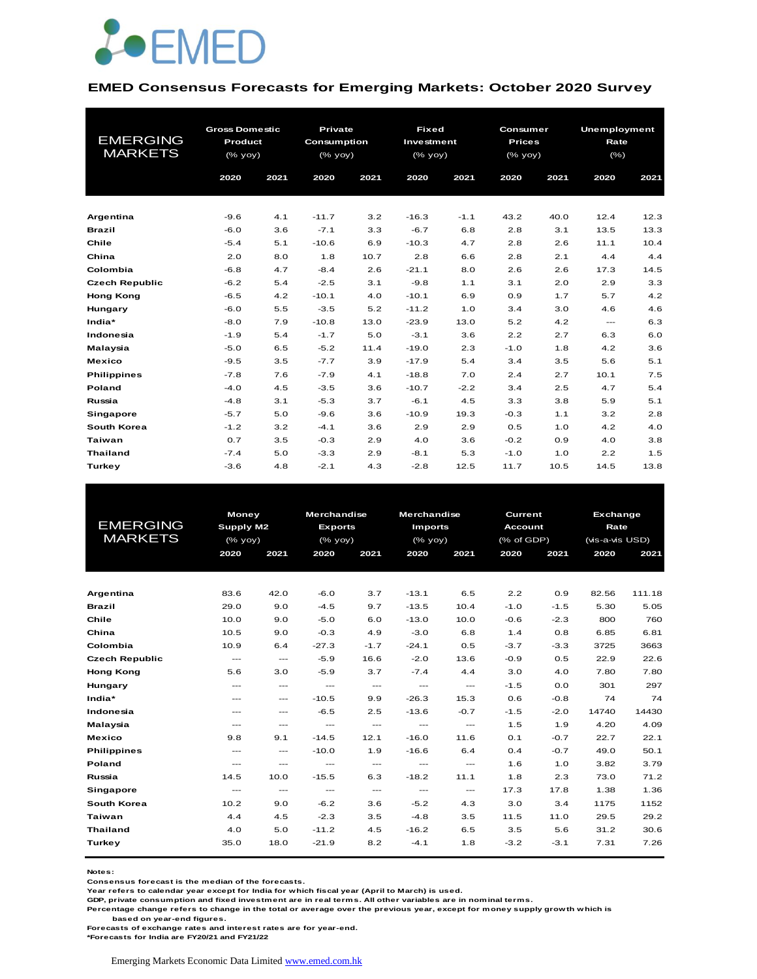

#### **EMED Consensus Forecasts for Emerging Markets: October 2020 Survey**

| <b>EMERGING</b><br><b>MARKETS</b> | <b>Gross Domestic</b><br>Product<br>(% yoy) |      | <b>Private</b><br>Consumption<br>$(%$ (% yoy) |      | <b>Fixed</b><br>Investment<br>(% yoy) |        | Consumer<br><b>Prices</b><br>(% yoy) |      | <b>Unemployment</b><br>Rate<br>$(\% )$ |      |
|-----------------------------------|---------------------------------------------|------|-----------------------------------------------|------|---------------------------------------|--------|--------------------------------------|------|----------------------------------------|------|
|                                   | 2020                                        | 2021 | 2020                                          | 2021 | 2020                                  | 2021   | 2020                                 | 2021 | 2020                                   | 2021 |
|                                   |                                             |      |                                               |      |                                       |        |                                      |      |                                        |      |
| Argentina                         | $-9.6$                                      | 4.1  | $-11.7$                                       | 3.2  | $-16.3$                               | $-1.1$ | 43.2                                 | 40.0 | 12.4                                   | 12.3 |
| <b>Brazil</b>                     | $-6.0$                                      | 3.6  | $-7.1$                                        | 3.3  | $-6.7$                                | 6.8    | 2.8                                  | 3.1  | 13.5                                   | 13.3 |
| Chile                             | $-5.4$                                      | 5.1  | $-10.6$                                       | 6.9  | $-10.3$                               | 4.7    | 2.8                                  | 2.6  | 11.1                                   | 10.4 |
| China                             | 2.0                                         | 8.0  | 1.8                                           | 10.7 | 2.8                                   | 6.6    | 2.8                                  | 2.1  | 4.4                                    | 4.4  |
| Colombia                          | $-6.8$                                      | 4.7  | $-8.4$                                        | 2.6  | $-21.1$                               | 8.0    | 2.6                                  | 2.6  | 17.3                                   | 14.5 |
| <b>Czech Republic</b>             | $-6.2$                                      | 5.4  | $-2.5$                                        | 3.1  | $-9.8$                                | 1.1    | 3.1                                  | 2.0  | 2.9                                    | 3.3  |
| <b>Hong Kong</b>                  | $-6.5$                                      | 4.2  | $-10.1$                                       | 4.0  | $-10.1$                               | 6.9    | 0.9                                  | 1.7  | 5.7                                    | 4.2  |
| Hungary                           | $-6.0$                                      | 5.5  | $-3.5$                                        | 5.2  | $-11.2$                               | 1.0    | 3.4                                  | 3.0  | 4.6                                    | 4.6  |
| India*                            | $-8.0$                                      | 7.9  | $-10.8$                                       | 13.0 | $-23.9$                               | 13.0   | 5.2                                  | 4.2  | $\frac{1}{2}$                          | 6.3  |
| Indonesia                         | $-1.9$                                      | 5.4  | $-1.7$                                        | 5.0  | $-3.1$                                | 3.6    | 2.2                                  | 2.7  | 6.3                                    | 6.0  |
| Malaysia                          | $-5.0$                                      | 6.5  | $-5.2$                                        | 11.4 | $-19.0$                               | 2.3    | $-1.0$                               | 1.8  | 4.2                                    | 3.6  |
| <b>Mexico</b>                     | $-9.5$                                      | 3.5  | $-7.7$                                        | 3.9  | $-17.9$                               | 5.4    | 3.4                                  | 3.5  | 5.6                                    | 5.1  |
| <b>Philippines</b>                | $-7.8$                                      | 7.6  | $-7.9$                                        | 4.1  | $-18.8$                               | 7.0    | 2.4                                  | 2.7  | 10.1                                   | 7.5  |
| Poland                            | $-4.0$                                      | 4.5  | $-3.5$                                        | 3.6  | $-10.7$                               | $-2.2$ | 3.4                                  | 2.5  | 4.7                                    | 5.4  |
| Russia                            | $-4.8$                                      | 3.1  | $-5.3$                                        | 3.7  | $-6.1$                                | 4.5    | 3.3                                  | 3.8  | 5.9                                    | 5.1  |
| Singapore                         | $-5.7$                                      | 5.0  | $-9.6$                                        | 3.6  | $-10.9$                               | 19.3   | $-0.3$                               | 1.1  | 3.2                                    | 2.8  |
| South Korea                       | $-1.2$                                      | 3.2  | $-4.1$                                        | 3.6  | 2.9                                   | 2.9    | 0.5                                  | 1.0  | 4.2                                    | 4.0  |
| <b>Taiwan</b>                     | 0.7                                         | 3.5  | $-0.3$                                        | 2.9  | 4.0                                   | 3.6    | $-0.2$                               | 0.9  | 4.0                                    | 3.8  |
| <b>Thailand</b>                   | $-7.4$                                      | 5.0  | $-3.3$                                        | 2.9  | $-8.1$                                | 5.3    | $-1.0$                               | 1.0  | 2.2                                    | 1.5  |
| Turkey                            | $-3.6$                                      | 4.8  | $-2.1$                                        | 4.3  | $-2.8$                                | 12.5   | 11.7                                 | 10.5 | 14.5                                   | 13.8 |

|                       |                        | <b>Money</b><br>Supply M2 |                          | <b>Merchandise</b>  | <b>Merchandise</b>       |                                                | <b>Current</b> |            | <b>Exchange</b> |                 |  |
|-----------------------|------------------------|---------------------------|--------------------------|---------------------|--------------------------|------------------------------------------------|----------------|------------|-----------------|-----------------|--|
| <b>EMERGING</b>       |                        |                           |                          | <b>Exports</b>      | <b>Imports</b>           |                                                | <b>Account</b> |            |                 | Rate            |  |
| <b>MARKETS</b>        | $(%$ (% yoy)           |                           | $(%$ (% yoy)             |                     |                          | $(% \mathsf{A}\rightarrow \mathsf{A})$ (% yoy) |                | (% of GDP) |                 | (vis-a-vis USD) |  |
|                       | 2020                   | 2021                      | 2020                     | 2021                | 2020                     | 2021                                           | 2020           | 2021       | 2020            | 2021            |  |
|                       |                        |                           |                          |                     |                          |                                                |                |            |                 |                 |  |
|                       |                        |                           |                          |                     |                          |                                                |                |            |                 |                 |  |
| Argentina             | 83.6                   | 42.0                      | $-6.0$                   | 3.7                 | $-13.1$                  | 6.5                                            | 2.2            | 0.9        | 82.56           | 111.18          |  |
| <b>Brazil</b>         | 29.0                   | 9.0                       | $-4.5$                   | 9.7                 | $-13.5$                  | 10.4                                           | $-1.0$         | $-1.5$     | 5.30            | 5.05            |  |
| Chile                 | 10.0                   | 9.0                       | $-5.0$                   | 6.0                 | $-13.0$                  | 10.0                                           | $-0.6$         | $-2.3$     | 800             | 760             |  |
| China                 | 10.5                   | 9.0                       | $-0.3$                   | 4.9                 | $-3.0$                   | 6.8                                            | 1.4            | 0.8        | 6.85            | 6.81            |  |
| Colombia              | 10.9                   | 6.4                       | $-27.3$                  | $-1.7$              | $-24.1$                  | 0.5                                            | $-3.7$         | $-3.3$     | 3725            | 3663            |  |
| <b>Czech Republic</b> | $\qquad \qquad \cdots$ | $\hspace{0.05cm} \ldots$  | $-5.9$                   | 16.6                | $-2.0$                   | 13.6                                           | $-0.9$         | 0.5        | 22.9            | 22.6            |  |
| <b>Hong Kong</b>      | 5.6                    | 3.0                       | $-5.9$                   | 3.7                 | $-7.4$                   | 4.4                                            | 3.0            | 4.0        | 7.80            | 7.80            |  |
| Hungary               | $---$                  | $---$                     | $\sim$ $\sim$            | $\cdots$            | $\hspace{0.05cm} \ldots$ | $\cdots$                                       | $-1.5$         | 0.0        | 301             | 297             |  |
| India*                | $---$                  | $---$                     | $-10.5$                  | 9.9                 | $-26.3$                  | 15.3                                           | 0.6            | $-0.8$     | 74              | 74              |  |
| Indonesia             | $---$                  | $\cdots$                  | $-6.5$                   | 2.5                 | $-13.6$                  | $-0.7$                                         | $-1.5$         | $-2.0$     | 14740           | 14430           |  |
| Malaysia              | $---$                  | ---                       | $\hspace{0.05cm} \ldots$ | $\qquad \qquad - -$ | $\hspace{0.05cm} \ldots$ | $\cdots$                                       | 1.5            | 1.9        | 4.20            | 4.09            |  |
| <b>Mexico</b>         | 9.8                    | 9.1                       | $-14.5$                  | 12.1                | $-16.0$                  | 11.6                                           | O.1            | $-0.7$     | 22.7            | 22.1            |  |
| <b>Philippines</b>    | $\qquad \qquad -$      | $\hspace{0.05cm} \ldots$  | $-10.0$                  | 1.9                 | $-16.6$                  | 6.4                                            | 0.4            | $-0.7$     | 49.0            | 50.1            |  |
| Poland                | $\frac{1}{2}$          | $\sim$ $\sim$             | $\frac{1}{2}$            | $\cdots$            | $\cdots$                 | $\cdots$                                       | 1.6            | 1.0        | 3.82            | 3.79            |  |
| Russia                | 14.5                   | 10.0                      | $-15.5$                  | 6.3                 | $-18.2$                  | 11.1                                           | 1.8            | 2.3        | 73.0            | 71.2            |  |
| Singapore             | $\frac{1}{2}$          | $\sim$ $\sim$             | $\hspace{0.05cm} \ldots$ | $\frac{1}{2}$       | $\hspace{0.05cm} \ldots$ | $\frac{1}{2}$                                  | 17.3           | 17.8       | 1.38            | 1.36            |  |
| <b>South Korea</b>    | 10.2                   | 9.0                       | $-6.2$                   | 3.6                 | $-5.2$                   | 4.3                                            | 3.0            | 3.4        | 1175            | 1152            |  |
| Taiwan                | 4.4                    | 4.5                       | $-2.3$                   | 3.5                 | $-4.8$                   | 3.5                                            | 11.5           | 11.0       | 29.5            | 29.2            |  |
| <b>Thailand</b>       | 4.0                    | 5.0                       | $-11.2$                  | 4.5                 | $-16.2$                  | 6.5                                            | 3.5            | 5.6        | 31.2            | 30.6            |  |
| Turkey                | 35.0                   | 18.0                      | $-21.9$                  | 8.2                 | $-4.1$                   | 1.8                                            | $-3.2$         | $-3.1$     | 7.31            | 7.26            |  |
|                       |                        |                           |                          |                     |                          |                                                |                |            |                 |                 |  |

**Notes:** 

**Consensus forecast is the median of the forecasts.**

**Year refers to calendar year except for India for which fiscal year (April to March) is used.**

**GDP, private consumption and fixed investment are in real terms. All other variables are in nominal terms.**

**Percentage change refers to change in the total or average over the previous year, except for money supply growth which is** 

 **based on year-end figures.**

**Forecasts of exchange rates and interest rates are for year-end.**

**\*Forecasts for India are FY20/21 and FY21/22**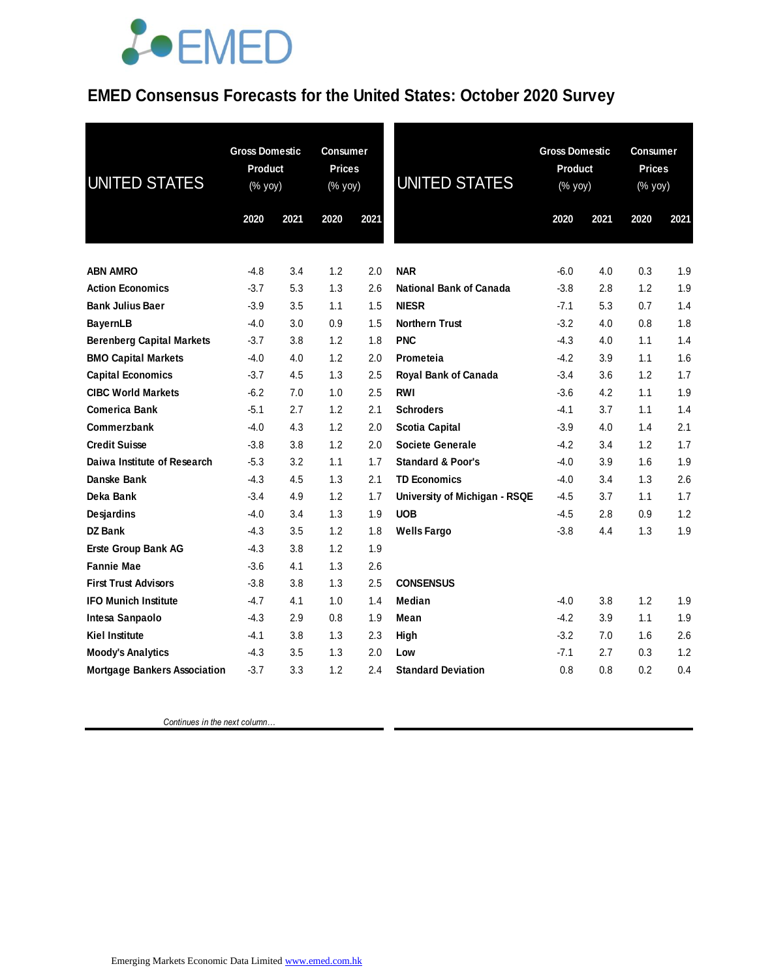### **EMED Consensus Forecasts for the United States: October 2020 Survey**

| <b>UNITED STATES</b>                | <b>Gross Domestic</b><br><b>Product</b><br>(% yoy) |      | Consumer<br><b>Prices</b><br>(% yoy) |      | <b>UNITED STATES</b>          | <b>Gross Domestic</b><br><b>Product</b><br>(% yoy) |      | <b>Consumer</b><br><b>Prices</b><br>$(\%$ yoy) |      |
|-------------------------------------|----------------------------------------------------|------|--------------------------------------|------|-------------------------------|----------------------------------------------------|------|------------------------------------------------|------|
|                                     | 2020                                               | 2021 | 2020                                 | 2021 |                               | 2020                                               | 2021 | 2020                                           | 2021 |
| <b>ABN AMRO</b>                     | $-4.8$                                             | 3.4  | 1.2                                  | 2.0  | <b>NAR</b>                    | $-6.0$                                             | 4.0  | 0.3                                            | 1.9  |
| <b>Action Economics</b>             | $-3.7$                                             | 5.3  | 1.3                                  | 2.6  | National Bank of Canada       | $-3.8$                                             | 2.8  | 1.2                                            | 1.9  |
| <b>Bank Julius Baer</b>             | $-3.9$                                             | 3.5  | 1.1                                  | 1.5  | <b>NIESR</b>                  | $-7.1$                                             | 5.3  | 0.7                                            | 1.4  |
| <b>BayernLB</b>                     | $-4.0$                                             | 3.0  | 0.9                                  | 1.5  | <b>Northern Trust</b>         | $-3.2$                                             | 4.0  | 0.8                                            | 1.8  |
| <b>Berenberg Capital Markets</b>    | $-3.7$                                             | 3.8  | 1.2                                  | 1.8  | <b>PNC</b>                    | $-4.3$                                             | 4.0  | 1.1                                            | 1.4  |
| <b>BMO Capital Markets</b>          | $-4.0$                                             | 4.0  | 1.2                                  | 2.0  | Prometeia                     | $-4.2$                                             | 3.9  | 1.1                                            | 1.6  |
| <b>Capital Economics</b>            | $-3.7$                                             | 4.5  | 1.3                                  | 2.5  | Royal Bank of Canada          | $-3.4$                                             | 3.6  | 1.2                                            | 1.7  |
| <b>CIBC World Markets</b>           | $-6.2$                                             | 7.0  | 1.0                                  | 2.5  | <b>RWI</b>                    | $-3.6$                                             | 4.2  | 1.1                                            | 1.9  |
| <b>Comerica Bank</b>                | $-5.1$                                             | 2.7  | 1.2                                  | 2.1  | <b>Schroders</b>              | $-4.1$                                             | 3.7  | 1.1                                            | 1.4  |
| Commerzbank                         | $-4.0$                                             | 4.3  | 1.2                                  | 2.0  | <b>Scotia Capital</b>         | $-3.9$                                             | 4.0  | 1.4                                            | 2.1  |
| <b>Credit Suisse</b>                | $-3.8$                                             | 3.8  | 1.2                                  | 2.0  | <b>Societe Generale</b>       | $-4.2$                                             | 3.4  | 1.2                                            | 1.7  |
| Daiwa Institute of Research         | $-5.3$                                             | 3.2  | 1.1                                  | 1.7  | <b>Standard &amp; Poor's</b>  | $-4.0$                                             | 3.9  | 1.6                                            | 1.9  |
| Danske Bank                         | $-4.3$                                             | 4.5  | 1.3                                  | 2.1  | <b>TD Economics</b>           | $-4.0$                                             | 3.4  | 1.3                                            | 2.6  |
| Deka Bank                           | $-3.4$                                             | 4.9  | 1.2                                  | 1.7  | University of Michigan - RSQE | $-4.5$                                             | 3.7  | 1.1                                            | 1.7  |
| Desjardins                          | $-4.0$                                             | 3.4  | 1.3                                  | 1.9  | <b>UOB</b>                    | $-4.5$                                             | 2.8  | 0.9                                            | 1.2  |
| DZ Bank                             | $-4.3$                                             | 3.5  | 1.2                                  | 1.8  | <b>Wells Fargo</b>            | $-3.8$                                             | 4.4  | 1.3                                            | 1.9  |
| Erste Group Bank AG                 | $-4.3$                                             | 3.8  | 1.2                                  | 1.9  |                               |                                                    |      |                                                |      |
| <b>Fannie Mae</b>                   | $-3.6$                                             | 4.1  | 1.3                                  | 2.6  |                               |                                                    |      |                                                |      |
| <b>First Trust Advisors</b>         | $-3.8$                                             | 3.8  | 1.3                                  | 2.5  | <b>CONSENSUS</b>              |                                                    |      |                                                |      |
| <b>IFO Munich Institute</b>         | $-4.7$                                             | 4.1  | 1.0                                  | 1.4  | Median                        | $-4.0$                                             | 3.8  | 1.2                                            | 1.9  |
| Intesa Sanpaolo                     | -4.3                                               | 2.9  | 0.8                                  | 1.9  | Mean                          | $-4.2$                                             | 3.9  | 1.1                                            | 1.9  |
| <b>Kiel Institute</b>               | $-4.1$                                             | 3.8  | 1.3                                  | 2.3  | High                          | $-3.2$                                             | 7.0  | 1.6                                            | 2.6  |
| <b>Moody's Analytics</b>            | $-4.3$                                             | 3.5  | 1.3                                  | 2.0  | Low                           | $-7.1$                                             | 2.7  | 0.3                                            | 1.2  |
| <b>Mortgage Bankers Association</b> | $-3.7$                                             | 3.3  | 1.2                                  | 2.4  | <b>Standard Deviation</b>     | 0.8                                                | 0.8  | 0.2                                            | 0.4  |

 *Continues in the next column…*

Emerging Markets Economic Data Limited www.emed.com.hk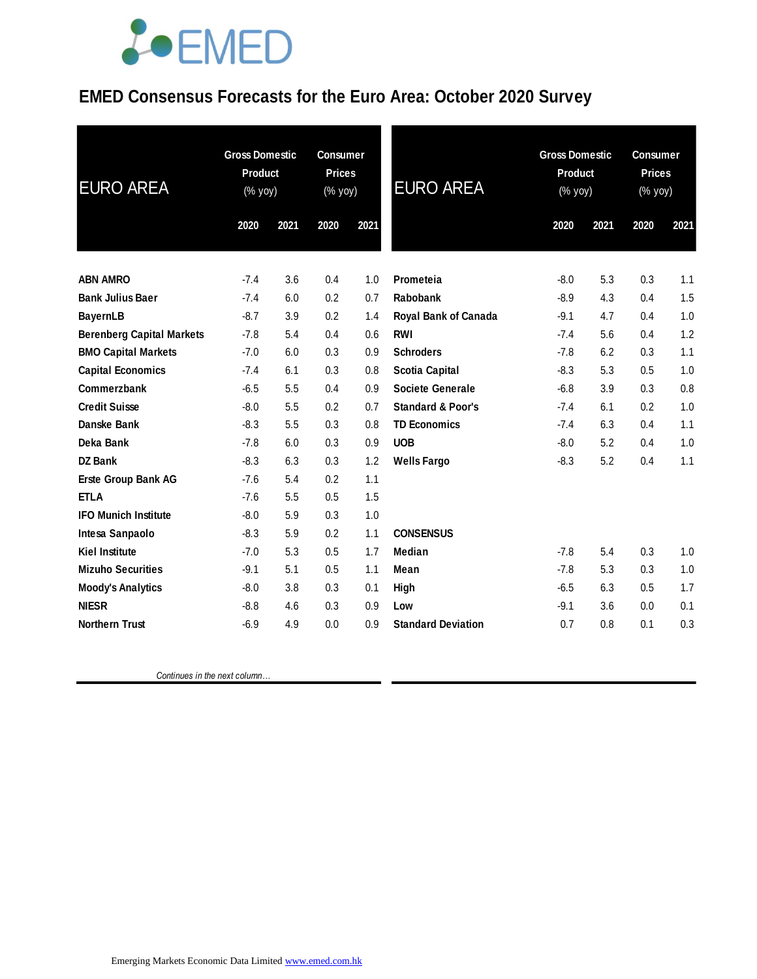### **EMED Consensus Forecasts for the Euro Area: October 2020 Survey**

| <b>Gross Domestic</b><br><b>Product</b><br>(% yoy) |      | <b>Consumer</b><br><b>Prices</b><br>(% yoy) |      | <b>EURO AREA</b>             | <b>Gross Domestic</b><br><b>Product</b><br>$(\%$ yoy) |      | <b>Consumer</b><br><b>Prices</b><br>(% yoy) |      |
|----------------------------------------------------|------|---------------------------------------------|------|------------------------------|-------------------------------------------------------|------|---------------------------------------------|------|
| 2020                                               | 2021 | 2020                                        | 2021 |                              | 2020                                                  | 2021 | 2020                                        | 2021 |
|                                                    |      |                                             |      |                              |                                                       |      |                                             |      |
| $-7.4$                                             | 3.6  | 0.4                                         | 1.0  | Prometeia                    | $-8.0$                                                | 5.3  | 0.3                                         | 1.1  |
| $-7.4$                                             | 6.0  | 0.2                                         | 0.7  | Rabobank                     | $-8.9$                                                | 4.3  | 0.4                                         | 1.5  |
| $-8.7$                                             | 3.9  | 0.2                                         | 1.4  | Royal Bank of Canada         | $-9.1$                                                | 4.7  | 0.4                                         | 1.0  |
| $-7.8$                                             | 5.4  | 0.4                                         | 0.6  | <b>RWI</b>                   | $-7.4$                                                | 5.6  | 0.4                                         | 1.2  |
| $-7.0$                                             | 6.0  | 0.3                                         | 0.9  | <b>Schroders</b>             | $-7.8$                                                | 6.2  | 0.3                                         | 1.1  |
| $-7.4$                                             | 6.1  | 0.3                                         | 0.8  | <b>Scotia Capital</b>        | $-8.3$                                                | 5.3  | 0.5                                         | 1.0  |
| $-6.5$                                             | 5.5  | 0.4                                         | 0.9  | <b>Societe Generale</b>      | $-6.8$                                                | 3.9  | 0.3                                         | 0.8  |
| $-8.0$                                             | 5.5  | 0.2                                         | 0.7  | <b>Standard &amp; Poor's</b> | $-7.4$                                                | 6.1  | 0.2                                         | 1.0  |
| $-8.3$                                             | 5.5  | 0.3                                         | 0.8  | <b>TD Economics</b>          | $-7.4$                                                | 6.3  | 0.4                                         | 1.1  |
| $-7.8$                                             | 6.0  | 0.3                                         | 0.9  | <b>UOB</b>                   | $-8.0$                                                | 5.2  | 0.4                                         | 1.0  |
| $-8.3$                                             | 6.3  | 0.3                                         | 1.2  | <b>Wells Fargo</b>           | $-8.3$                                                | 5.2  | 0.4                                         | 1.1  |
| $-7.6$                                             | 5.4  | 0.2                                         | 1.1  |                              |                                                       |      |                                             |      |
| $-7.6$                                             | 5.5  | 0.5                                         | 1.5  |                              |                                                       |      |                                             |      |
| $-8.0$                                             | 5.9  | 0.3                                         | 1.0  |                              |                                                       |      |                                             |      |
| $-8.3$                                             | 5.9  | 0.2                                         | 1.1  | <b>CONSENSUS</b>             |                                                       |      |                                             |      |
| $-7.0$                                             | 5.3  | 0.5                                         | 1.7  | <b>Median</b>                | $-7.8$                                                | 5.4  | 0.3                                         | 1.0  |
| $-9.1$                                             | 5.1  | 0.5                                         | 1.1  | Mean                         | $-7.8$                                                | 5.3  | 0.3                                         | 1.0  |
| $-8.0$                                             | 3.8  | 0.3                                         | 0.1  | High                         | $-6.5$                                                | 6.3  | 0.5                                         | 1.7  |
| $-8.8$                                             | 4.6  | 0.3                                         | 0.9  | Low                          | $-9.1$                                                | 3.6  | 0.0                                         | 0.1  |
| $-6.9$                                             | 4.9  | 0.0                                         | 0.9  | <b>Standard Deviation</b>    | 0.7                                                   | 0.8  | 0.1                                         | 0.3  |
|                                                    |      |                                             |      |                              |                                                       |      |                                             |      |

 *Continues in the next column…*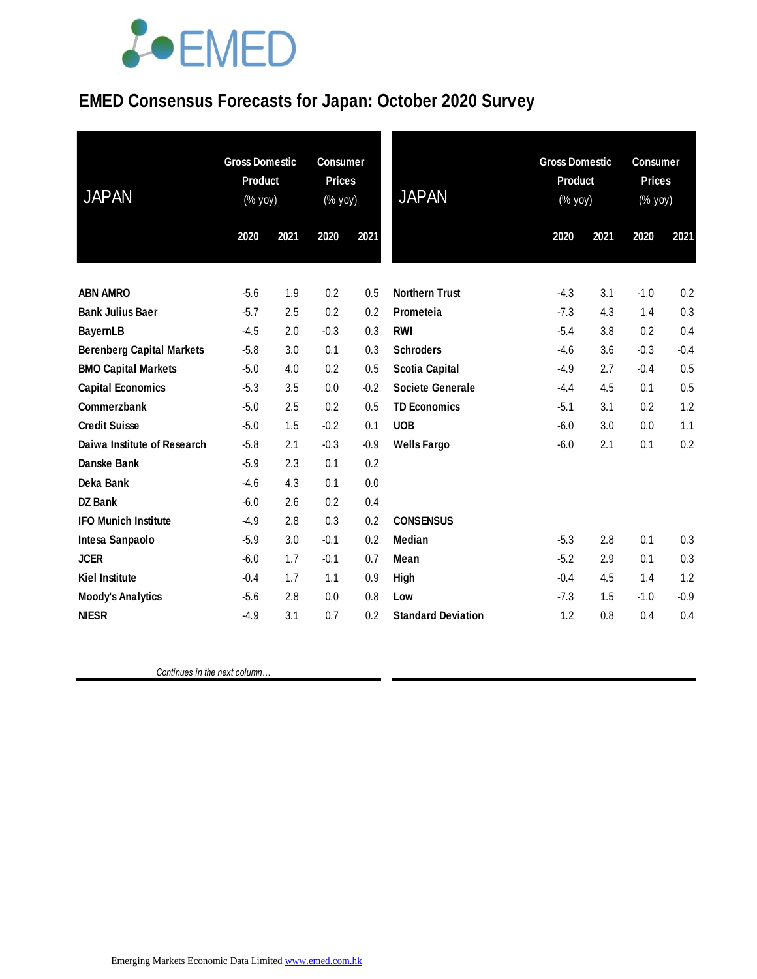### **EMED Consensus Forecasts for Japan: October 2020 Survey**

| <b>JAPAN</b>                     | <b>Gross Domestic</b><br>Product<br>(% yoy) |      | <b>Consumer</b><br><b>Prices</b><br>$(% \mathsf{y}\right)$ (% $\overline{\mathsf{y}}$ oy) |        | <b>JAPAN</b>              | <b>Gross Domestic</b><br><b>Product</b><br>(% yoy) |      | <b>Consumer</b><br><b>Prices</b><br>$(% \mathsf{Y}^{\prime }\mathsf{Y}^{\prime }\mathsf{Y}^{\prime })$ |        |
|----------------------------------|---------------------------------------------|------|-------------------------------------------------------------------------------------------|--------|---------------------------|----------------------------------------------------|------|--------------------------------------------------------------------------------------------------------|--------|
|                                  | 2020                                        | 2021 | 2020                                                                                      | 2021   |                           | 2020                                               | 2021 | 2020                                                                                                   | 2021   |
| <b>ABN AMRO</b>                  | $-5.6$                                      | 1.9  | 0.2                                                                                       | 0.5    | <b>Northern Trust</b>     | $-4.3$                                             | 3.1  | $-1.0$                                                                                                 | 0.2    |
| <b>Bank Julius Baer</b>          | $-5.7$                                      | 2.5  | 0.2                                                                                       | 0.2    | Prometeia                 | $-7.3$                                             | 4.3  | 1.4                                                                                                    | 0.3    |
| <b>BayernLB</b>                  | $-4.5$                                      | 2.0  | $-0.3$                                                                                    | 0.3    | <b>RWI</b>                | $-5.4$                                             | 3.8  | 0.2                                                                                                    | 0.4    |
| <b>Berenberg Capital Markets</b> | $-5.8$                                      | 3.0  | 0.1                                                                                       | 0.3    | <b>Schroders</b>          | $-4.6$                                             | 3.6  | $-0.3$                                                                                                 | $-0.4$ |
| <b>BMO Capital Markets</b>       | $-5.0$                                      | 4.0  | 0.2                                                                                       | 0.5    | <b>Scotia Capital</b>     | $-4.9$                                             | 2.7  | $-0.4$                                                                                                 | 0.5    |
| <b>Capital Economics</b>         | $-5.3$                                      | 3.5  | 0.0                                                                                       | $-0.2$ | <b>Societe Generale</b>   | $-4.4$                                             | 4.5  | 0.1                                                                                                    | 0.5    |
| Commerzbank                      | $-5.0$                                      | 2.5  | 0.2                                                                                       | 0.5    | <b>TD Economics</b>       | $-5.1$                                             | 3.1  | 0.2                                                                                                    | 1.2    |
| <b>Credit Suisse</b>             | $-5.0$                                      | 1.5  | $-0.2$                                                                                    | 0.1    | <b>UOB</b>                | $-6.0$                                             | 3.0  | 0.0                                                                                                    | 1.1    |
| Daiwa Institute of Research      | $-5.8$                                      | 2.1  | $-0.3$                                                                                    | $-0.9$ | <b>Wells Fargo</b>        | $-6.0$                                             | 2.1  | 0.1                                                                                                    | 0.2    |
| Danske Bank                      | $-5.9$                                      | 2.3  | 0.1                                                                                       | 0.2    |                           |                                                    |      |                                                                                                        |        |
| Deka Bank                        | $-4.6$                                      | 4.3  | 0.1                                                                                       | 0.0    |                           |                                                    |      |                                                                                                        |        |
| <b>DZ Bank</b>                   | $-6.0$                                      | 2.6  | 0.2                                                                                       | 0.4    |                           |                                                    |      |                                                                                                        |        |
| <b>IFO Munich Institute</b>      | $-4.9$                                      | 2.8  | 0.3                                                                                       | 0.2    | <b>CONSENSUS</b>          |                                                    |      |                                                                                                        |        |
| Intesa Sanpaolo                  | $-5.9$                                      | 3.0  | $-0.1$                                                                                    | 0.2    | <b>Median</b>             | $-5.3$                                             | 2.8  | 0.1                                                                                                    | 0.3    |
| <b>JCER</b>                      | $-6.0$                                      | 1.7  | $-0.1$                                                                                    | 0.7    | Mean                      | $-5.2$                                             | 2.9  | 0.1                                                                                                    | 0.3    |
| <b>Kiel Institute</b>            | $-0.4$                                      | 1.7  | 1.1                                                                                       | 0.9    | <b>High</b>               | $-0.4$                                             | 4.5  | 1.4                                                                                                    | 1.2    |
| <b>Moody's Analytics</b>         | $-5.6$                                      | 2.8  | 0.0                                                                                       | 0.8    | Low                       | $-7.3$                                             | 1.5  | $-1.0$                                                                                                 | $-0.9$ |
| <b>NIESR</b>                     | $-4.9$                                      | 3.1  | 0.7                                                                                       | 0.2    | <b>Standard Deviation</b> | 1.2                                                | 0.8  | 0.4                                                                                                    | 0.4    |

 *Continues in the next column…*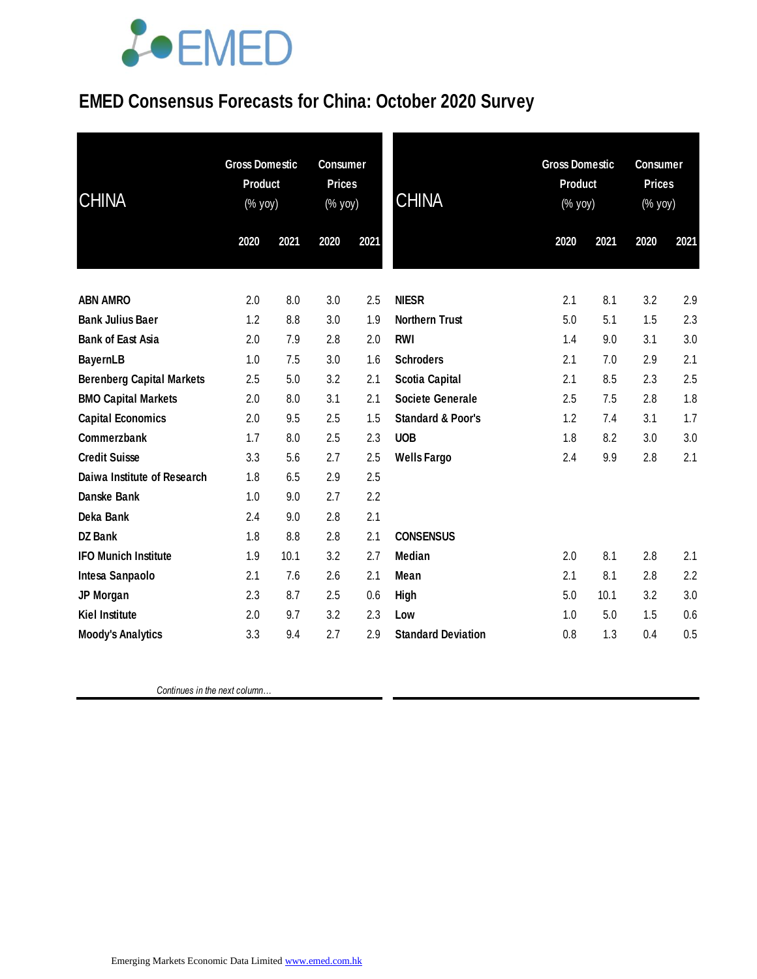### **EMED Consensus Forecasts for China: October 2020 Survey**

| <b>CHINA</b>                     | <b>Gross Domestic</b><br>Product<br>(% yoy) |      | <b>Consumer</b><br><b>Prices</b><br>(% yoy) |      | <b>CHINA</b>                 | <b>Gross Domestic</b><br><b>Product</b><br>(% yoy) |      | <b>Consumer</b><br><b>Prices</b><br>(% yoy) |      |
|----------------------------------|---------------------------------------------|------|---------------------------------------------|------|------------------------------|----------------------------------------------------|------|---------------------------------------------|------|
|                                  | 2020                                        | 2021 | 2020                                        | 2021 |                              | 2020                                               | 2021 | 2020                                        | 2021 |
| <b>ABN AMRO</b>                  | 2.0                                         | 8.0  | 3.0                                         | 2.5  | <b>NIESR</b>                 | 2.1                                                | 8.1  | 3.2                                         | 2.9  |
| <b>Bank Julius Baer</b>          | 1.2                                         | 8.8  | 3.0                                         | 1.9  | <b>Northern Trust</b>        | 5.0                                                | 5.1  | 1.5                                         | 2.3  |
| <b>Bank of East Asia</b>         | 2.0                                         | 7.9  | 2.8                                         | 2.0  | <b>RWI</b>                   | 1.4                                                | 9.0  | 3.1                                         | 3.0  |
| <b>BayernLB</b>                  | 1.0                                         | 7.5  | 3.0                                         | 1.6  | <b>Schroders</b>             | 2.1                                                | 7.0  | 2.9                                         | 2.1  |
| <b>Berenberg Capital Markets</b> | 2.5                                         | 5.0  | 3.2                                         | 2.1  | <b>Scotia Capital</b>        | 2.1                                                | 8.5  | 2.3                                         | 2.5  |
| <b>BMO Capital Markets</b>       | 2.0                                         | 8.0  | 3.1                                         | 2.1  | <b>Societe Generale</b>      | 2.5                                                | 7.5  | 2.8                                         | 1.8  |
| <b>Capital Economics</b>         | 2.0                                         | 9.5  | 2.5                                         | 1.5  | <b>Standard &amp; Poor's</b> | 1.2                                                | 7.4  | 3.1                                         | 1.7  |
| Commerzbank                      | 1.7                                         | 8.0  | 2.5                                         | 2.3  | <b>UOB</b>                   | 1.8                                                | 8.2  | 3.0                                         | 3.0  |
| <b>Credit Suisse</b>             | 3.3                                         | 5.6  | 2.7                                         | 2.5  | <b>Wells Fargo</b>           | 2.4                                                | 9.9  | 2.8                                         | 2.1  |
| Daiwa Institute of Research      | 1.8                                         | 6.5  | 2.9                                         | 2.5  |                              |                                                    |      |                                             |      |
| Danske Bank                      | 1.0                                         | 9.0  | 2.7                                         | 2.2  |                              |                                                    |      |                                             |      |
| Deka Bank                        | 2.4                                         | 9.0  | 2.8                                         | 2.1  |                              |                                                    |      |                                             |      |
| <b>DZ Bank</b>                   | 1.8                                         | 8.8  | 2.8                                         | 2.1  | <b>CONSENSUS</b>             |                                                    |      |                                             |      |
| <b>IFO Munich Institute</b>      | 1.9                                         | 10.1 | 3.2                                         | 2.7  | <b>Median</b>                | 2.0                                                | 8.1  | 2.8                                         | 2.1  |
| Intesa Sanpaolo                  | 2.1                                         | 7.6  | 2.6                                         | 2.1  | Mean                         | 2.1                                                | 8.1  | 2.8                                         | 2.2  |
| JP Morgan                        | 2.3                                         | 8.7  | 2.5                                         | 0.6  | <b>High</b>                  | 5.0                                                | 10.1 | 3.2                                         | 3.0  |
| <b>Kiel Institute</b>            | 2.0                                         | 9.7  | 3.2                                         | 2.3  | Low                          | 1.0                                                | 5.0  | 1.5                                         | 0.6  |
| <b>Moody's Analytics</b>         | 3.3                                         | 9.4  | 2.7                                         | 2.9  | <b>Standard Deviation</b>    | 0.8                                                | 1.3  | 0.4                                         | 0.5  |

 *Continues in the next column…*